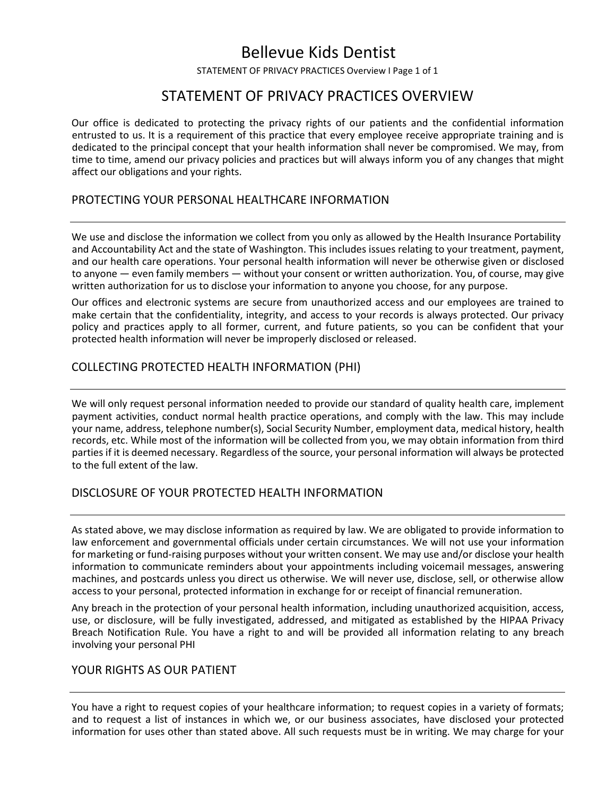# Bellevue Kids Dentist

STATEMENT OF PRIVACY PRACTICES Overview I Page 1 of 1

### STATEMENT OF PRIVACY PRACTICES OVERVIEW

Our office is dedicated to protecting the privacy rights of our patients and the confidential information entrusted to us. It is a requirement of this practice that every employee receive appropriate training and is dedicated to the principal concept that your health information shall never be compromised. We may, from time to time, amend our privacy policies and practices but will always inform you of any changes that might affect our obligations and your rights.

#### PROTECTING YOUR PERSONAL HEALTHCARE INFORMATION

We use and disclose the information we collect from you only as allowed by the Health Insurance Portability and and Accountability Act and the state of Washington. This includes issues relating to your treatment, payment, and our health care operations. Your personal health information will never be otherwise given or disclosed to anyone — even family members — without your consent or written authorization. You, of course, may give written authorization for us to disclose your information to anyone you choose, for any purpose.

Our offices and electronic systems are secure from unauthorized access and our employees are trained to make certain that the confidentiality, integrity, and access to your records is always protected. Our privacy policy and practices apply to all former, current, and future patients, so you can be confident that your protected health information will never be improperly disclosed or released.

#### COLLECTING PROTECTED HEALTH INFORMATION (PHI)

We will only request personal information needed to provide our standard of quality health care, implement payment activities, conduct normal health practice operations, and comply with the law. This may include your name, address, telephone number(s), Social Security Number, employment data, medical history, health records, etc. While most of the information will be collected from you, we may obtain information from third parties if it is deemed necessary. Regardless of the source, your personal information will always be protected to the full extent of the law.

#### DISCLOSURE OF YOUR PROTECTED HEALTH INFORMATION

As stated above, we may disclose information as required by law. We are obligated to provide information to law enforcement and governmental officials under certain circumstances. We will not use your information for marketing or fund-raising purposes without your written consent. We may use and/or disclose your health information to communicate reminders about your appointments including voicemail messages, answering machines, and postcards unless you direct us otherwise. We will never use, disclose, sell, or otherwise allow access to your personal, protected information in exchange for or receipt of financial remuneration.

Any breach in the protection of your personal health information, including unauthorized acquisition, access, use, or disclosure, will be fully investigated, addressed, and mitigated as established by the HIPAA Privacy Breach Notification Rule. You have a right to and will be provided all information relating to any breach involving your personal PHI

#### YOUR RIGHTS AS OUR PATIENT

You have a right to request copies of your healthcare information; to request copies in a variety of formats; and to request a list of instances in which we, or our business associates, have disclosed your protected information for uses other than stated above. All such requests must be in writing. We may charge for your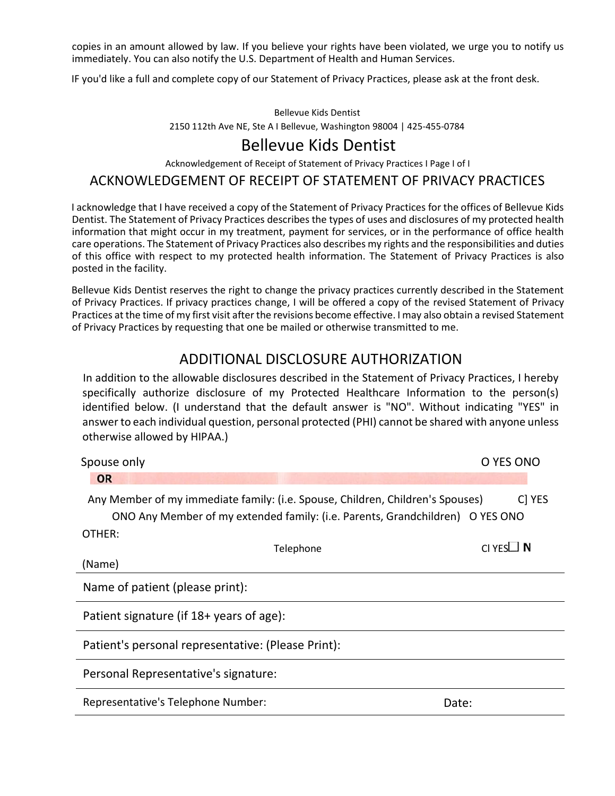copies in an amount allowed by law. If you believe your rights have been violated, we urge you to notify us immediately. You can also notify the U.S. Department of Health and Human Services.

IF you'd like a full and complete copy of our Statement of Privacy Practices, please ask at the front desk.

#### Bellevue Kids Dentist

2150 112th Ave NE, Ste A I Bellevue, Washington 98004 | 425-455-0784

### Bellevue Kids Dentist

Acknowledgement of Receipt of Statement of Privacy Practices I Page I of I

### ACKNOWLEDGEMENT OF RECEIPT OF STATEMENT OF PRIVACY PRACTICES

I acknowledge that I have received a copy of the Statement of Privacy Practices for the offices of Bellevue Kids Dentist. The Statement of Privacy Practices describes the types of uses and disclosures of my protected health information that might occur in my treatment, payment for services, or in the performance of office health care operations. The Statement of Privacy Practices also describes my rights and the responsibilities and duties of this office with respect to my protected health information. The Statement of Privacy Practices is also posted in the facility.

Bellevue Kids Dentist reserves the right to change the privacy practices currently described in the Statement of Privacy Practices. If privacy practices change, I will be offered a copy of the revised Statement of Privacy Practices at the time of my first visit after the revisions become effective. I may also obtain a revised Statement of Privacy Practices by requesting that one be mailed or otherwise transmitted to me.

## ADDITIONAL DISCLOSURE AUTHORIZATION

In addition to the allowable disclosures described in the Statement of Privacy Practices, I hereby specifically authorize disclosure of my Protected Healthcare Information to the person(s) identified below. (I understand that the default answer is "NO". Without indicating "YES" in answer to each individual question, personal protected (PHI) cannot be shared with anyone unless otherwise allowed by HIPAA.)

| Spouse only                                                                                                                                                     |           | O YES ONO    |  |  |  |  |
|-----------------------------------------------------------------------------------------------------------------------------------------------------------------|-----------|--------------|--|--|--|--|
| <b>OR</b>                                                                                                                                                       |           |              |  |  |  |  |
| Any Member of my immediate family: (i.e. Spouse, Children, Children's Spouses)<br>ONO Any Member of my extended family: (i.e. Parents, Grandchildren) O YES ONO |           | C YES        |  |  |  |  |
| OTHER:                                                                                                                                                          |           |              |  |  |  |  |
|                                                                                                                                                                 | Telephone | $CI YesLJ$ N |  |  |  |  |
| (Name)                                                                                                                                                          |           |              |  |  |  |  |
| Name of patient (please print):                                                                                                                                 |           |              |  |  |  |  |
| Patient signature (if 18+ years of age):                                                                                                                        |           |              |  |  |  |  |
| Patient's personal representative: (Please Print):                                                                                                              |           |              |  |  |  |  |
| Personal Representative's signature:                                                                                                                            |           |              |  |  |  |  |
| Representative's Telephone Number:                                                                                                                              |           | Date:        |  |  |  |  |